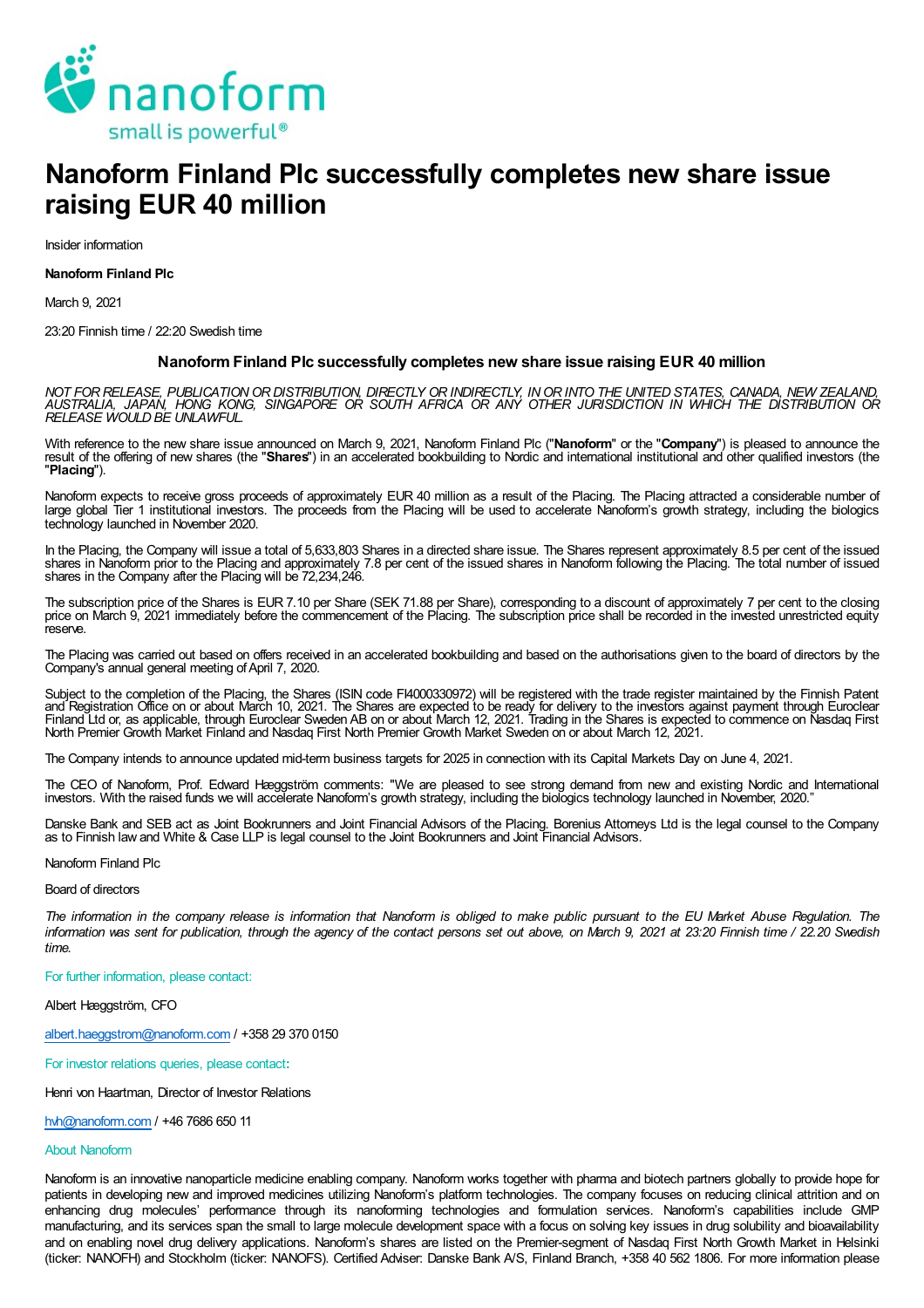

# Nanoform Finland Plc successfully completes new share issue raising EUR 40 million

Insider information

### Nanoform Finland Plc

March 9, 2021

23:20 Finnish time / 22:20 Swedish time

# Nanoform Finland Plc successfully completes new share issue raising EUR 40 million

NOT FOR RELEASE, PUBLICATIONOR DISTRIBUTION, DIRECTLY OR INDIRECTLY, INOR INTO THE UNITED STATES, CANADA, NEW ZEALAND, AUSTRALIA, JAPAN, HONG KONG, SINGAPORE OR SOUTH AFRICA OR ANY OTHER JURISDICTION IN WHICH THE DISTRIBUTION OR RELEASE WOULD BE UNLAWFUL.

With reference to the new share issue announced on March 9, 2021, Nanoform Finland Plc ("Nanoform" or the "Company") is pleased to announce the result of the offering of new shares (the "Shares") in an accelerated bookbuilding to Nordic and international institutional and other qualified investors (the "Placing").

Nanoform expects to receive gross proceeds of approximately EUR 40 million as a result of the Placing. The Placing attracted a considerable number of large global Tier 1 institutional investors. The proceeds from the Placing will be used to accelerate Nanoform's growth strategy, including the biologics technology launched in November 2020.

In the Placing, the Company will issue a total of 5,633,803 Shares in a directed share issue. The Shares represent approximately 8.5 per cent of the issued shares in Nanoform prior to the Placing and approximately 7.8 per cent of the issued shares in Nanoform following the Placing. The total number of issued shares in the Company after the Placing will be 72,234,246.

The subscription price of the Shares is EUR 7.10 per Share (SEK 71.88 per Share), corresponding to a discount of approximately 7 per cent to the closing price on March 9, 2021 immediately before the commencement of the Placing. The subscription price shall be recorded in the invested unrestricted equity reserve.

The Placing was carried out based on offers received in an accelerated bookbuilding and based on the authorisations given to the board of directors by the Company's annual general meeting of April 7, 2020.

Subject to the completion of the Placing, the Shares (ISIN code FI4000330972) will be registered with the trade register maintained by the Finnish Patent and Registration Office on or about March 10, 2021. The Shares are expected to be ready for delivery to the investors against payment through Euroclear Finland Ltd or, as applicable, through Euroclear Sweden AB on or about March 12, 2021. Trading in the Shares is expected to commence on Nasdaq First North Premier Growth Market Finland and Nasdaq First North Premier Growth Market Sweden on or about March 12, 2021.

The Company intends to announce updated mid-term business targets for 2025 in connection with its Capital Markets Day on June 4, 2021.

The CEO of Nanoform, Prof. Edward Hæggström comments: "We are pleased to see strong demand from new and existing Nordic and International investors. With the raised funds we will accelerate Nanoform's growth strategy, including the biologics technology launched in November, 2020."

Danske Bank and SEB act as Joint Bookrunners and Joint Financial Advisors of the Placing. Borenius Attorneys Ltd is the legal counsel to the Company as to Finnish law and White & Case LLP is legal counsel to the Joint Bookrunners and Joint Financial Advisors.

### Nanoform Finland Plc

## Board of directors

The information in the company release is information that Nanoform is obliged to make public pursuant to the EU Market Abuse Regulation. The information was sent for publication, through the agency of the contact persons set out above, on March 9, 2021 at 23:20 Finnish time / 22.20 Swedish time.

For further information, please contact:

Albert Hæggström, CFO

albert.haeggstrom@nanoform.com / +358 29 370 0150

For investor relations queries, please contact:

Henri von Haartman, Director of Investor Relations

hvh@nanoform.com / +46 7686 650 11

# About Nanoform

Nanoform is an innovative nanoparticle medicine enabling company. Nanoform works together with pharma and biotech partners globally to provide hope for patients in developing new and improved medicines utilizing Nanoform's platform technologies. The company focuses on reducing clinical attrition and on enhancing drug molecules' performance through its nanoforming technologies and formulation services. Nanoform's capabilities include GMP manufacturing, and its services span the small to large molecule development space with a focus on solving key issues in drug solubility and bioavailability and on enabling novel drug delivery applications. Nanoform's shares are listed on the Premier-segment of Nasdaq First North Growth Market in Helsinki (ticker: NANOFH) and Stockholm (ticker: NANOFS). Certified Adviser: Danske Bank A/S, Finland Branch, +358 40 562 1806. For more information please